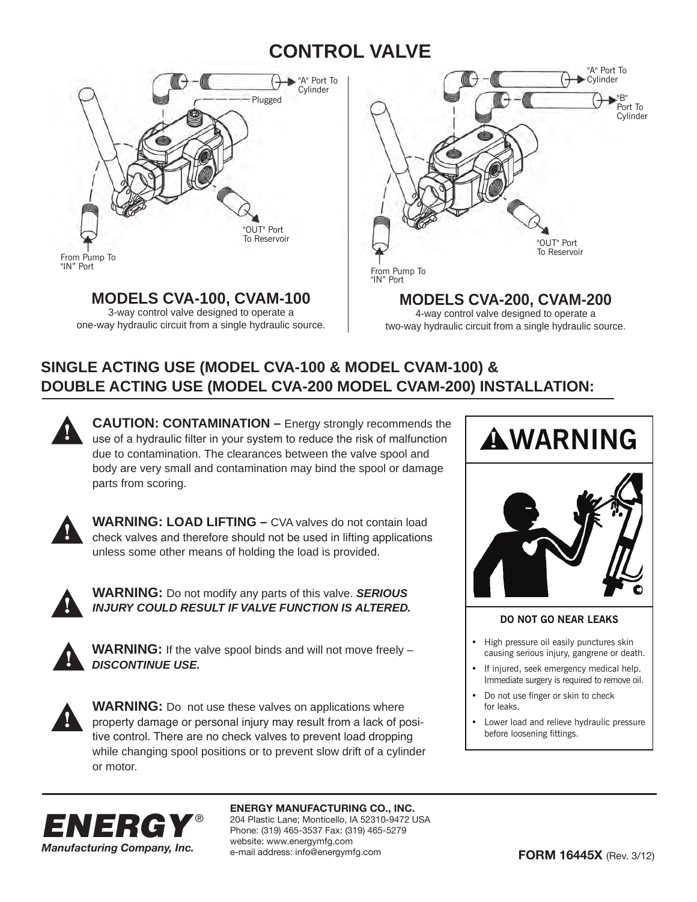## **control valve control valve control valve control valve**



**MODELS CVA-100, CVAM-100 ModelS cva-100, cvaM-100 ModelS cva-100, cvaM-100** 3-way control valve designed to operate a

one-way hydraulic circuit from a single hydraulic source. one-way hydraulic circuit from a single hydraulic source. 3-way control valve designed to operate a one-way hydraulic circuit from a single hydraulic source. one-way hydraulic circuit from a single hydraulic source.



"IN" Port

**MODELS CVA-200, CVAM-200 ModelS cva-200, cvaM-200 ModelS cva-200, cvaM-200 MODELS CVA-200, CVAM-2**<br>4-way control valve designed to operate a two-way hydraulic circuit from a single hydraulic source. two-way hydraulic circuit from a single hydraulic source. 4-way control valve designed to operate a two-way hydraulic circuit from a single hydraulic source.

two-way hydraulic circuit from a single hydraulic source.

## **SINGLE ACTING USE (MODEL CVA-100 & MODEL CVAM-100) & SInGle actInG USe (Model cva-100 & cvaM-100) & SInGle actInG USe (Model cva-100 & cvaM-100) & DOUBLE ACTING USE (MODEL CVA-200 MODEL CVAM-200) INSTALLATION: doUble actInG USe (Model cva-200 & cvaM-200) InStallatIon: SInGle actInG USe (Model cva-100 & cvaM-100) & do Use (Model complete activities)** OUBLE ACTING USE (MODEL CVA-200 MODEL CVAM-200) IN

**CAUTION: CONTAMINATION –** Energy strongly recommends the use of a hydraulic filter in your system to reduce the risk of malfunction due to contamination. The clearances between the valve spool and ade to contamination. The clearances between the valve spool and body are very small and contamination may bind the spool or damage parts from scoring. bind the spool or damage parts from scoring. body are very small and contamination may bind the spool or dand norte from exering parts from scoring.



|<br>|<br>|

1

**!**

!

**WARNING: load lifting –** CVA valves do not contain load check valves and therefore should not be used in lifting applications unless some other means of holding the load is provided. **WarnInG: load lIftInG –** CvA valves do not contain load **WARNING: LOAD LIFTING –** CVA valves do not contain load



**WARNING:** Do not modify any parts of this valve. **SERIOUS** *INJURY COULD RESULT IF VALVE FUNCTION IS ALTERED. injury could result if valve function is altered. injury could result if valve function is altered.*



**WARNING:** If the valve spool binds and will not move freely -*DISCONTINUE USE. discontinue use. discontinue use.*



**WARNING:** Do not use these valves on applications where property damage or personal injury may result from a lack of positive control. There are no check valves to prevent load dropping while changing spool positions or to prevent slow drift of a cylinder or motor.



### $\mathbf{H} = \mathbf{H} \times \mathbf{H}$  and  $\mathbf{H} = \mathbf{H} \times \mathbf{H}$  and  $\mathbf{H} = \mathbf{H} \times \mathbf{H}$ **do not Go near leaKS do not Go near leaKS**

- High pressure oil easily punctures skin causing serious injury, gangrene or death.
- If injured, seek emergency medical help. Immediate surgery is required to remove oil.
- Do not use finger or skin to check for leaks.
- Lower load and relieve hydraulic pressure before loosening fittings. before loosening fittings.



204 Plastic Lane • Monticello, IA 52310-9472 USA Phone: (319) 465-3537 • Fax: (319) 465-5279 **enerGy ManUfactUrInG co., Inc.**  204 Plastic Lane; Monticello, IA 52310-9472 USA<br>204 Plastic Lane; Monticello, IA 52310-9472 USA **ENERGY MANUFACTURING CO., INC.** Web site: www.energymfg.com • E-mail: info@energymfg.com Phone: (319) 465-3537 • Fax: (319) 465-5279 Phone: (319) 465-3537 Fax: (319) 465-5279 website: www.energymfg.com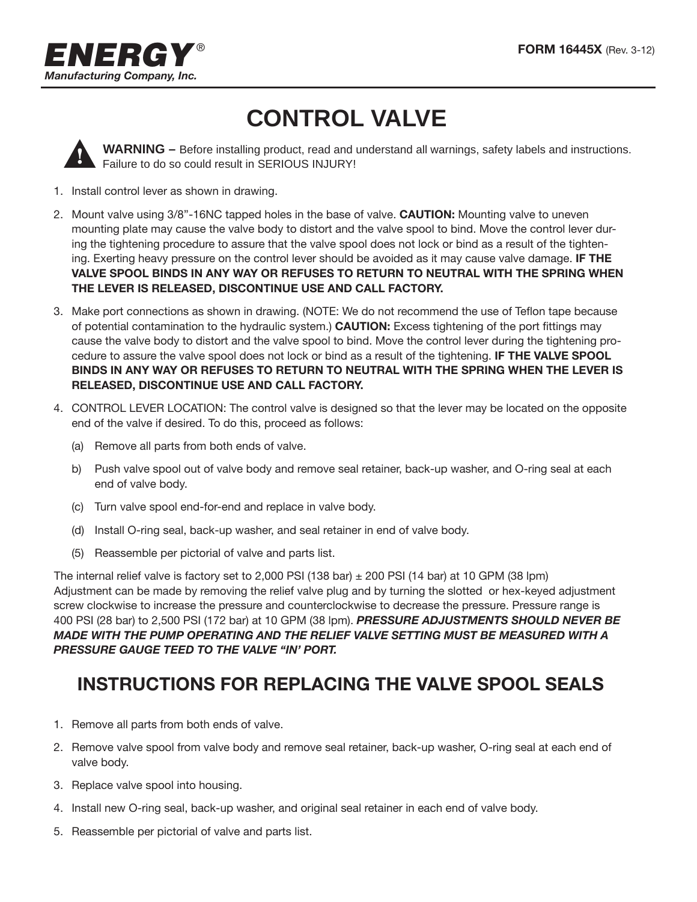

# **control valve**

**!**

**WARNING –** Before installing product, read and understand all warnings, safety labels and instructions. Failure to do so could result in SERIOUS INJURY!

- 1. Install control lever as shown in drawing.
- 2. Mount valve using 3/8"-16NC tapped holes in the base of valve. **CAUTION:** Mounting valve to uneven mounting plate may cause the valve body to distort and the valve spool to bind. Move the control lever during the tightening procedure to assure that the valve spool does not lock or bind as a result of the tightening. Exerting heavy pressure on the control lever should be avoided as it may cause valve damage. **IF THE VALVE SPOOL BINDS IN ANY WAY OR REFUSES TO RETURN TO NEUTRAL WITH THE SPRING WHEN THE LEVER IS RELEASED, DISCONTINUE USE AND CALL FACTORY.**
- 3. Make port connections as shown in drawing. (NOTE: We do not recommend the use of Teflon tape because of potential contamination to the hydraulic system.) **CAUTION:** Excess tightening of the port fittings may cause the valve body to distort and the valve spool to bind. Move the control lever during the tightening procedure to assure the valve spool does not lock or bind as a result of the tightening. **IF THE VALVE SPOOL BINDS IN ANY WAY OR REFUSES TO RETURN TO NEUTRAL WITH THE SPRING WHEN THE LEVER IS RELEASED, DISCONTINUE USE AND CALL FACTORY.**
- 4. CONTROL LEVER LOCATION: The control valve is designed so that the lever may be located on the opposite end of the valve if desired. To do this, proceed as follows:
	- (a) Remove all parts from both ends of valve.
	- b) Push valve spool out of valve body and remove seal retainer, back-up washer, and O-ring seal at each end of valve body.
	- (c) Turn valve spool end-for-end and replace in valve body.
	- (d) Install O-ring seal, back-up washer, and seal retainer in end of valve body.
	- (5) Reassemble per pictorial of valve and parts list.

The internal relief valve is factory set to 2,000 PSI (138 bar)  $\pm$  200 PSI (14 bar) at 10 GPM (38 lpm) Adjustment can be made by removing the relief valve plug and by turning the slotted or hex-keyed adjustment screw clockwise to increase the pressure and counterclockwise to decrease the pressure. Pressure range is 400 PSI (28 bar) to 2,500 PSI (172 bar) at 10 GPM (38 lpm). *PresSURE ADJUSTMENTS SHOULD NEVER BE MADE WITH THE PUMP OPERATING AND THE RELIEF VALVE SETTING MUST BE MEASURED WITH A PRESSURE GAUGE TEED TO THE VALVE "IN' PORT.*

## **INSTRUCTIONS FOR REPLACING THE VALVE SPOOL SEALS**

- 1. Remove all parts from both ends of valve.
- 2. Remove valve spool from valve body and remove seal retainer, back-up washer, O-ring seal at each end of valve body.
- 3. Replace valve spool into housing.
- 4. Install new O-ring seal, back-up washer, and original seal retainer in each end of valve body.
- 5. Reassemble per pictorial of valve and parts list.